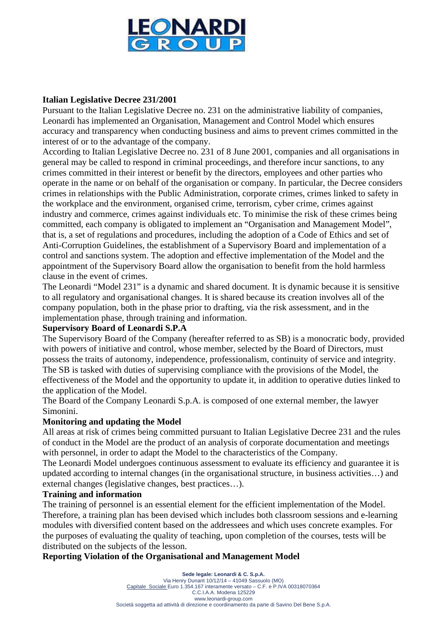

## **Italian Legislative Decree 231/2001**

Pursuant to the Italian Legislative Decree no. 231 on the administrative liability of companies, Leonardi has implemented an Organisation, Management and Control Model which ensures accuracy and transparency when conducting business and aims to prevent crimes committed in the interest of or to the advantage of the company.

According to Italian Legislative Decree no. 231 of 8 June 2001, companies and all organisations in general may be called to respond in criminal proceedings, and therefore incur sanctions, to any crimes committed in their interest or benefit by the directors, employees and other parties who operate in the name or on behalf of the organisation or company. In particular, the Decree considers crimes in relationships with the Public Administration, corporate crimes, crimes linked to safety in the workplace and the environment, organised crime, terrorism, cyber crime, crimes against industry and commerce, crimes against individuals etc. To minimise the risk of these crimes being committed, each company is obligated to implement an "Organisation and Management Model", that is, a set of regulations and procedures, including the adoption of a Code of Ethics and set of Anti-Corruption Guidelines, the establishment of a Supervisory Board and implementation of a control and sanctions system. The adoption and effective implementation of the Model and the appointment of the Supervisory Board allow the organisation to benefit from the hold harmless clause in the event of crimes.

The Leonardi "Model 231" is a dynamic and shared document. It is dynamic because it is sensitive to all regulatory and organisational changes. It is shared because its creation involves all of the company population, both in the phase prior to drafting, via the risk assessment, and in the implementation phase, through training and information.

## **Supervisory Board of Leonardi S.P.A**

The Supervisory Board of the Company (hereafter referred to as SB) is a monocratic body, provided with powers of initiative and control, whose member, selected by the Board of Directors, must possess the traits of autonomy, independence, professionalism, continuity of service and integrity. The SB is tasked with duties of supervising compliance with the provisions of the Model, the effectiveness of the Model and the opportunity to update it, in addition to operative duties linked to the application of the Model.

The Board of the Company Leonardi S.p.A. is composed of one external member, the lawyer Simonini.

# **Monitoring and updating the Model**

All areas at risk of crimes being committed pursuant to Italian Legislative Decree 231 and the rules of conduct in the Model are the product of an analysis of corporate documentation and meetings with personnel, in order to adapt the Model to the characteristics of the Company.

The Leonardi Model undergoes continuous assessment to evaluate its efficiency and guarantee it is updated according to internal changes (in the organisational structure, in business activities…) and external changes (legislative changes, best practices…).

## **Training and information**

The training of personnel is an essential element for the efficient implementation of the Model. Therefore, a training plan has been devised which includes both classroom sessions and e-learning modules with diversified content based on the addressees and which uses concrete examples. For the purposes of evaluating the quality of teaching, upon completion of the courses, tests will be distributed on the subjects of the lesson.

## **Reporting Violation of the Organisational and Management Model**